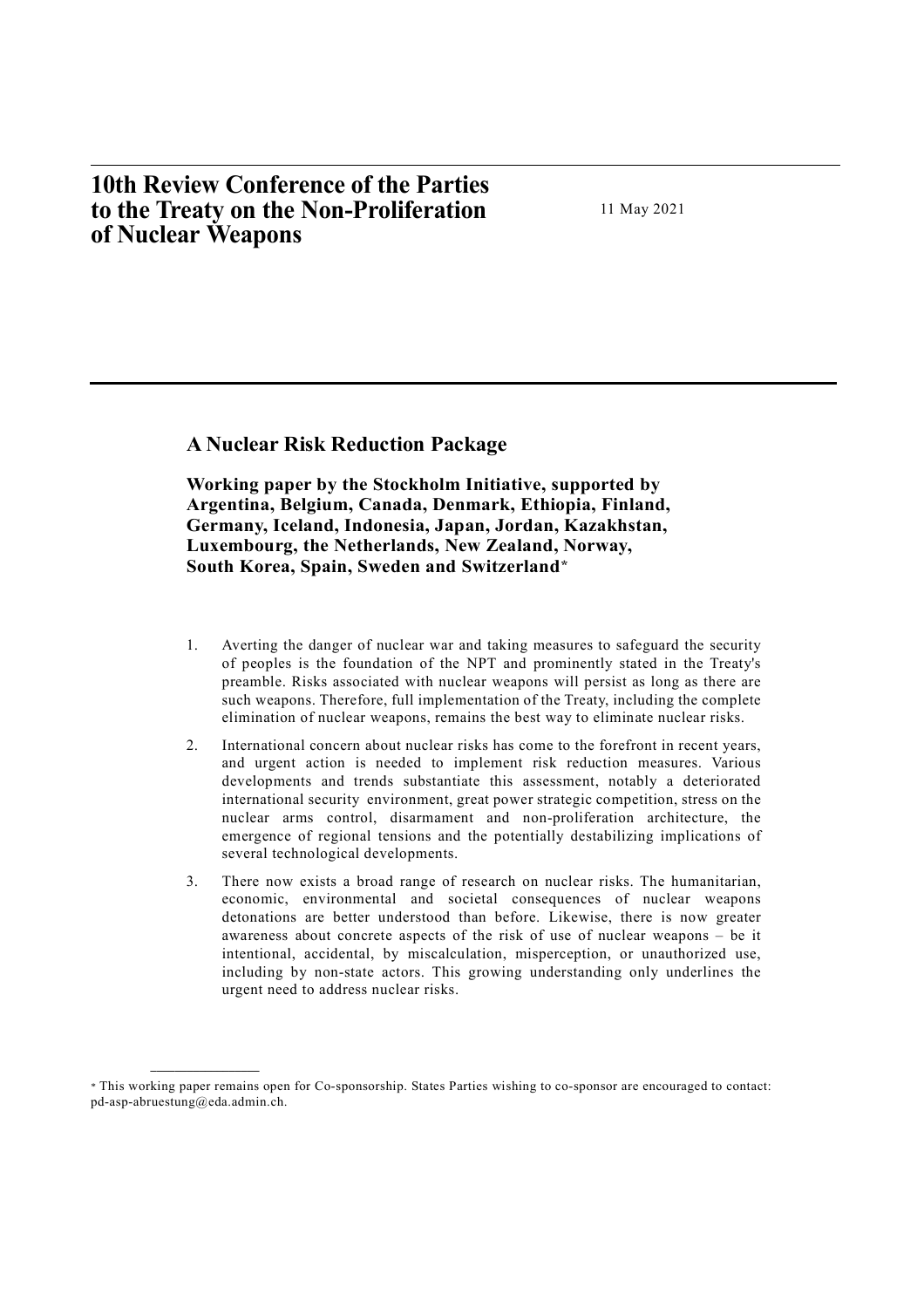## **10th Review Conference of the Parties to the Treaty on the Non-Proliferation of Nuclear Weapons**

11 May 2021

## **A Nuclear Risk Reduction Package**

 **Working paper by the Stockholm Initiative, supported by Argentina, Belgium, Canada, Denmark, Ethiopia, Finland, Germany, Iceland, Indonesia, Japan, Jordan, Kazakhstan, Luxembourg, the Netherlands, New Zealand, Norway, South Korea, Spain, Sweden and Switzerland\***

- 1. Averting the danger of nuclear war and taking measures to safeguard the security of peoples is the foundation of the NPT and prominently stated in the Treaty's preamble. Risks associated with nuclear weapons will persist as long as there are such weapons. Therefore, full implementation of the Treaty, including the complete elimination of nuclear weapons, remains the best way to eliminate nuclear risks.
- 2. International concern about nuclear risks has come to the forefront in recent years, and urgent action is needed to implement risk reduction measures. Various developments and trends substantiate this assessment, notably a deteriorated international security environment, great power strategic competition, stress on the nuclear arms control, disarmament and non-proliferation architecture, the emergence of regional tensions and the potentially destabilizing implications of several technological developments.
- 3. There now exists a broad range of research on nuclear risks. The humanitarian, economic, environmental and societal consequences of nuclear weapons detonations are better understood than before. Likewise, there is now greater awareness about concrete aspects of the risk of use of nuclear weapons – be it intentional, accidental, by miscalculation, misperception, or unauthorized use, including by non-state actors. This growing understanding only underlines the urgent need to address nuclear risks.

**\_\_\_\_\_\_\_\_\_\_\_\_\_\_\_\_\_\_** 

<sup>\*</sup> This working paper remains open for Co-sponsorship. States Parties wishing to co-sponsor are encouraged to contact: pd-asp-abruestung@eda.admin.ch.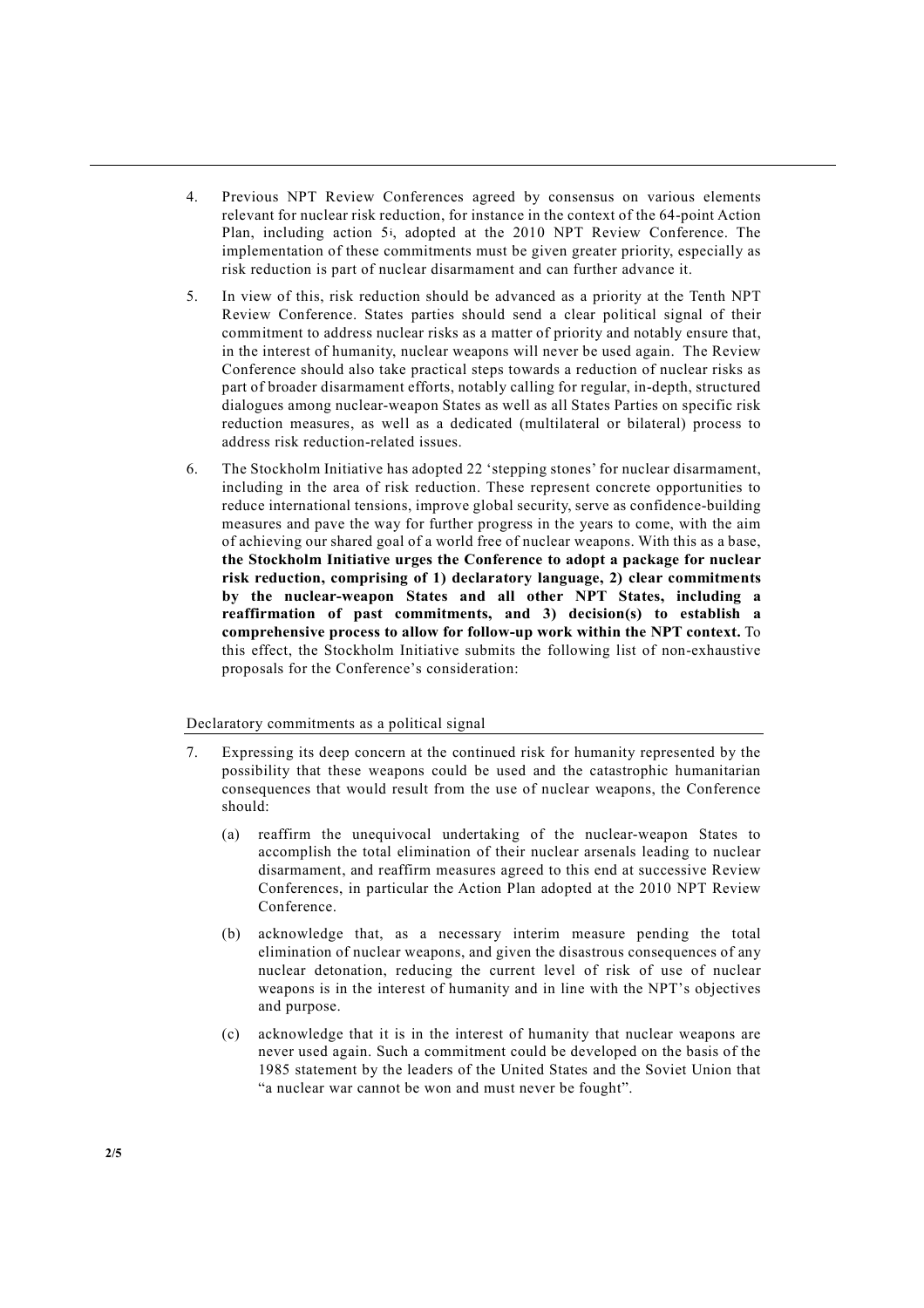- 4. Previous NPT Review Conferences agreed by consensus on various elements relevant for nuclear risk reduction, for instance in the context of the 64-point Action Plan, including action 5i, adopted at the 2010 NPT Review Conference. The implementation of these commitments must be given greater priority, especially as risk reduction is part of nuclear disarmament and can further advance it.
- 5. In view of this, risk reduction should be advanced as a priority at the Tenth NPT Review Conference. States parties should send a clear political signal of their commitment to address nuclear risks as a matter of priority and notably ensure that, in the interest of humanity, nuclear weapons will never be used again. The Review Conference should also take practical steps towards a reduction of nuclear risks as part of broader disarmament efforts, notably calling for regular, in-depth, structured dialogues among nuclear-weapon States as well as all States Parties on specific risk reduction measures, as well as a dedicated (multilateral or bilateral) process to address risk reduction-related issues.
- 6. The Stockholm Initiative has adopted 22 'stepping stones' for nuclear disarmament, including in the area of risk reduction. These represent concrete opportunities to reduce international tensions, improve global security, serve as confidence-building measures and pave the way for further progress in the years to come, with the aim of achieving our shared goal of a world free of nuclear weapons. With this as a base, **the Stockholm Initiative urges the Conference to adopt a package for nuclear risk reduction, comprising of 1) declaratory language, 2) clear commitments by the nuclear-weapon States and all other NPT States, including a reaffirmation of past commitments, and 3) decision(s) to establish a comprehensive process to allow for follow-up work within the NPT context.** To this effect, the Stockholm Initiative submits the following list of non-exhaustive proposals for the Conference's consideration:

## Declaratory commitments as a political signal

- 7. Expressing its deep concern at the continued risk for humanity represented by the possibility that these weapons could be used and the catastrophic humanitarian consequences that would result from the use of nuclear weapons, the Conference should:
	- (a) reaffirm the unequivocal undertaking of the nuclear-weapon States to accomplish the total elimination of their nuclear arsenals leading to nuclear disarmament, and reaffirm measures agreed to this end at successive Review Conferences, in particular the Action Plan adopted at the 2010 NPT Review Conference.
	- (b) acknowledge that, as a necessary interim measure pending the total elimination of nuclear weapons, and given the disastrous consequences of any nuclear detonation, reducing the current level of risk of use of nuclear weapons is in the interest of humanity and in line with the NPT's objectives and purpose.
	- (c) acknowledge that it is in the interest of humanity that nuclear weapons are never used again. Such a commitment could be developed on the basis of the 1985 statement by the leaders of the United States and the Soviet Union that "a nuclear war cannot be won and must never be fought".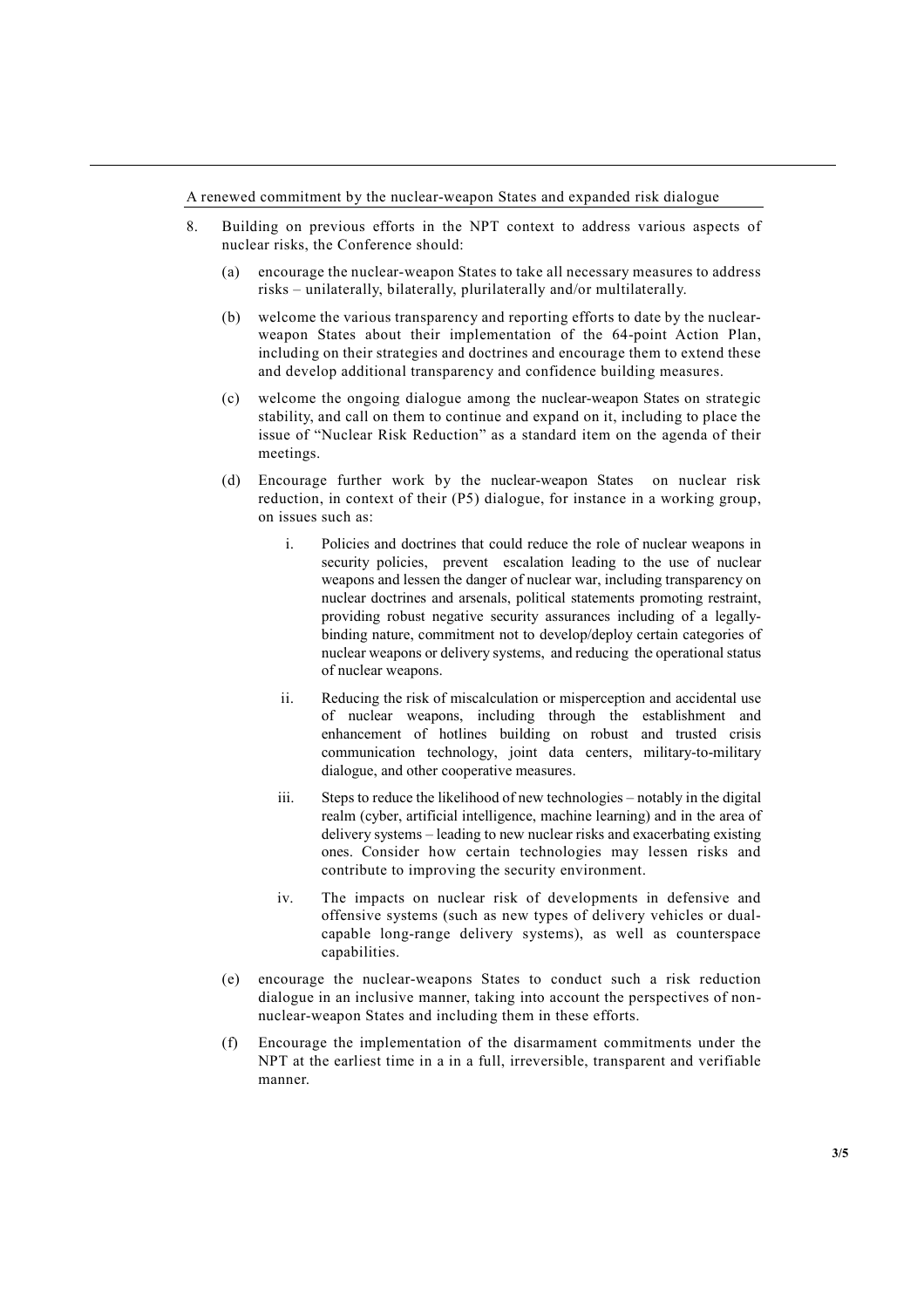A renewed commitment by the nuclear-weapon States and expanded risk dialogue

- 8. Building on previous efforts in the NPT context to address various aspects of nuclear risks, the Conference should:
	- (a) encourage the nuclear-weapon States to take all necessary measures to address risks – unilaterally, bilaterally, plurilaterally and/or multilaterally.
	- (b) welcome the various transparency and reporting efforts to date by the nuclearweapon States about their implementation of the 64-point Action Plan, including on their strategies and doctrines and encourage them to extend these and develop additional transparency and confidence building measures.
	- (c) welcome the ongoing dialogue among the nuclear-weapon States on strategic stability, and call on them to continue and expand on it, including to place the issue of "Nuclear Risk Reduction" as a standard item on the agenda of their meetings.
	- (d) Encourage further work by the nuclear-weapon States on nuclear risk reduction, in context of their (P5) dialogue, for instance in a working group, on issues such as:
		- i. Policies and doctrines that could reduce the role of nuclear weapons in security policies, prevent escalation leading to the use of nuclear weapons and lessen the danger of nuclear war, including transparency on nuclear doctrines and arsenals, political statements promoting restraint, providing robust negative security assurances including of a legallybinding nature, commitment not to develop/deploy certain categories of nuclear weapons or delivery systems, and reducing the operational status of nuclear weapons.
		- ii. Reducing the risk of miscalculation or misperception and accidental use of nuclear weapons, including through the establishment and enhancement of hotlines building on robust and trusted crisis communication technology, joint data centers, military-to-military dialogue, and other cooperative measures.
		- iii. Steps to reduce the likelihood of new technologies notably in the digital realm (cyber, artificial intelligence, machine learning) and in the area of delivery systems – leading to new nuclear risks and exacerbating existing ones. Consider how certain technologies may lessen risks and contribute to improving the security environment.
		- iv. The impacts on nuclear risk of developments in defensive and offensive systems (such as new types of delivery vehicles or dualcapable long-range delivery systems), as well as counterspace capabilities.
	- (e) encourage the nuclear-weapons States to conduct such a risk reduction dialogue in an inclusive manner, taking into account the perspectives of nonnuclear-weapon States and including them in these efforts.
	- (f) Encourage the implementation of the disarmament commitments under the NPT at the earliest time in a in a full, irreversible, transparent and verifiable manner.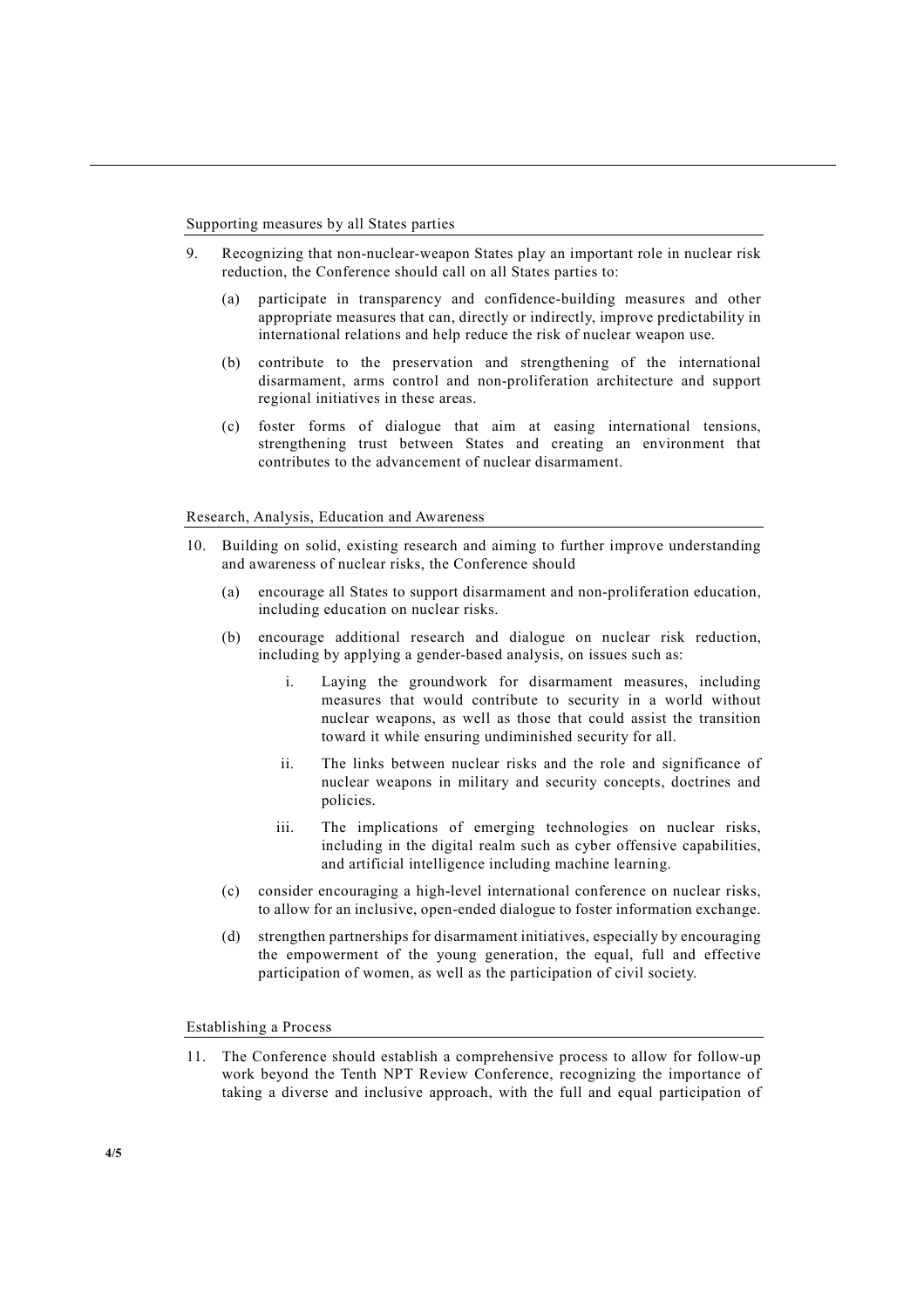Supporting measures by all States parties

- 9. Recognizing that non-nuclear-weapon States play an important role in nuclear risk reduction, the Conference should call on all States parties to:
	- (a) participate in transparency and confidence-building measures and other appropriate measures that can, directly or indirectly, improve predictability in international relations and help reduce the risk of nuclear weapon use.
	- (b) contribute to the preservation and strengthening of the international disarmament, arms control and non-proliferation architecture and support regional initiatives in these areas.
	- (c) foster forms of dialogue that aim at easing international tensions, strengthening trust between States and creating an environment that contributes to the advancement of nuclear disarmament.

Research, Analysis, Education and Awareness

- 10. Building on solid, existing research and aiming to further improve understanding and awareness of nuclear risks, the Conference should
	- (a) encourage all States to support disarmament and non-proliferation education, including education on nuclear risks.
	- (b) encourage additional research and dialogue on nuclear risk reduction, including by applying a gender-based analysis, on issues such as:
		- i. Laying the groundwork for disarmament measures, including measures that would contribute to security in a world without nuclear weapons, as well as those that could assist the transition toward it while ensuring undiminished security for all.
		- ii. The links between nuclear risks and the role and significance of nuclear weapons in military and security concepts, doctrines and policies.
		- iii. The implications of emerging technologies on nuclear risks, including in the digital realm such as cyber offensive capabilities, and artificial intelligence including machine learning.
	- (c) consider encouraging a high-level international conference on nuclear risks, to allow for an inclusive, open-ended dialogue to foster information exchange.
	- (d) strengthen partnerships for disarmament initiatives, especially by encouraging the empowerment of the young generation, the equal, full and effective participation of women, as well as the participation of civil society.

Establishing a Process

11. The Conference should establish a comprehensive process to allow for follow-up work beyond the Tenth NPT Review Conference, recognizing the importance of taking a diverse and inclusive approach, with the full and equal participation of